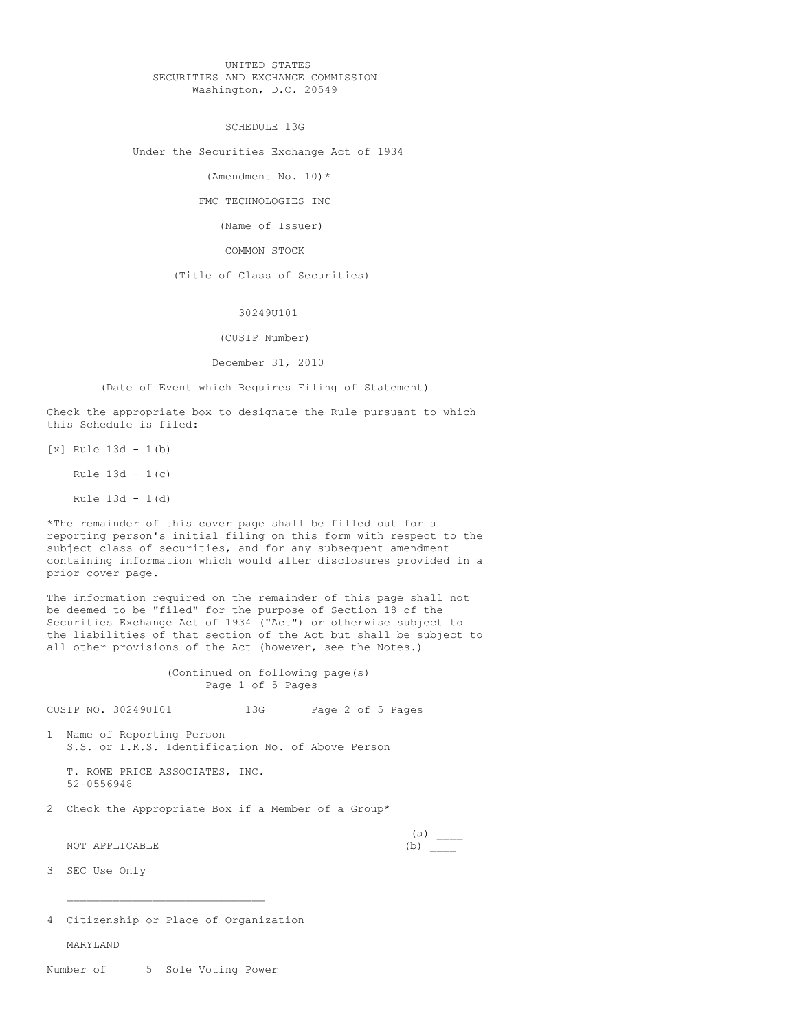## UNITED STATES SECURITIES AND EXCHANGE COMMISSION Washington, D.C. 20549

SCHEDULE 13G

Under the Securities Exchange Act of 1934

(Amendment No. 10)\*

FMC TECHNOLOGIES INC

(Name of Issuer)

COMMON STOCK

(Title of Class of Securities)

30249U101

(CUSIP Number)

December 31, 2010

(Date of Event which Requires Filing of Statement)

Check the appropriate box to designate the Rule pursuant to which this Schedule is filed:

[x] Rule 13d - 1(b)

Rule 13d - 1(c)

Rule 13d - 1(d)

\*The remainder of this cover page shall be filled out for a reporting person's initial filing on this form with respect to the subject class of securities, and for any subsequent amendment containing information which would alter disclosures provided in a prior cover page.

The information required on the remainder of this page shall not be deemed to be "filed" for the purpose of Section 18 of the Securities Exchange Act of 1934 ("Act") or otherwise subject to the liabilities of that section of the Act but shall be subject to all other provisions of the Act (however, see the Notes.)

> (Continued on following page(s) Page 1 of 5 Pages

CUSIP NO. 30249U101 13G Page 2 of 5 Pages

1 Name of Reporting Person S.S. or I.R.S. Identification No. of Above Person

T. ROWE PRICE ASSOCIATES, INC. 52-0556948

2 Check the Appropriate Box if a Member of a Group\*

NOT APPLICABLE (b)

 $(a)$ 

3 SEC Use Only

4 Citizenship or Place of Organization

MARYLAND

Number of 5 Sole Voting Power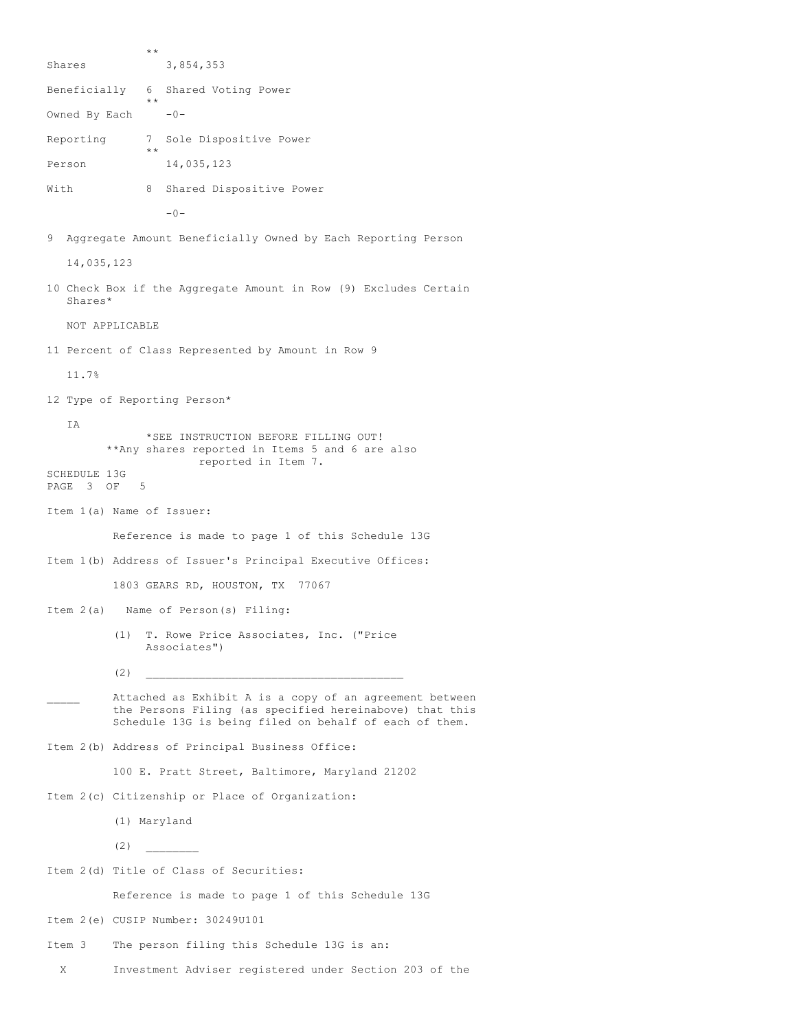\*\* Shares 3,854,353 Beneficially 6 Shared Voting Power \*\* Owned By Each  $-0-$ Reporting 7 Sole Dispositive Power \*\* Person 14,035,123 With 8 Shared Dispositive Power  $-0-$ 9 Aggregate Amount Beneficially Owned by Each Reporting Person 14,035,123 10 Check Box if the Aggregate Amount in Row (9) Excludes Certain Shares\* NOT APPLICABLE 11 Percent of Class Represented by Amount in Row 9 11.7% 12 Type of Reporting Person\* IA \*SEE INSTRUCTION BEFORE FILLING OUT! \*\*Any shares reported in Items 5 and 6 are also reported in Item 7. SCHEDULE 13G PAGE 3 OF 5 Item 1(a) Name of Issuer: Reference is made to page 1 of this Schedule 13G Item 1(b) Address of Issuer's Principal Executive Offices: 1803 GEARS RD, HOUSTON, TX 77067 Item 2(a) Name of Person(s) Filing: (1) T. Rowe Price Associates, Inc. ("Price Associates")  $(2)$ Attached as Exhibit A is a copy of an agreement between the Persons Filing (as specified hereinabove) that this Schedule 13G is being filed on behalf of each of them. Item 2(b) Address of Principal Business Office: 100 E. Pratt Street, Baltimore, Maryland 21202 Item 2(c) Citizenship or Place of Organization: (1) Maryland  $(2)$ Item 2(d) Title of Class of Securities: Reference is made to page 1 of this Schedule 13G Item 2(e) CUSIP Number: 30249U101 Item 3 The person filing this Schedule 13G is an: X Investment Adviser registered under Section 203 of the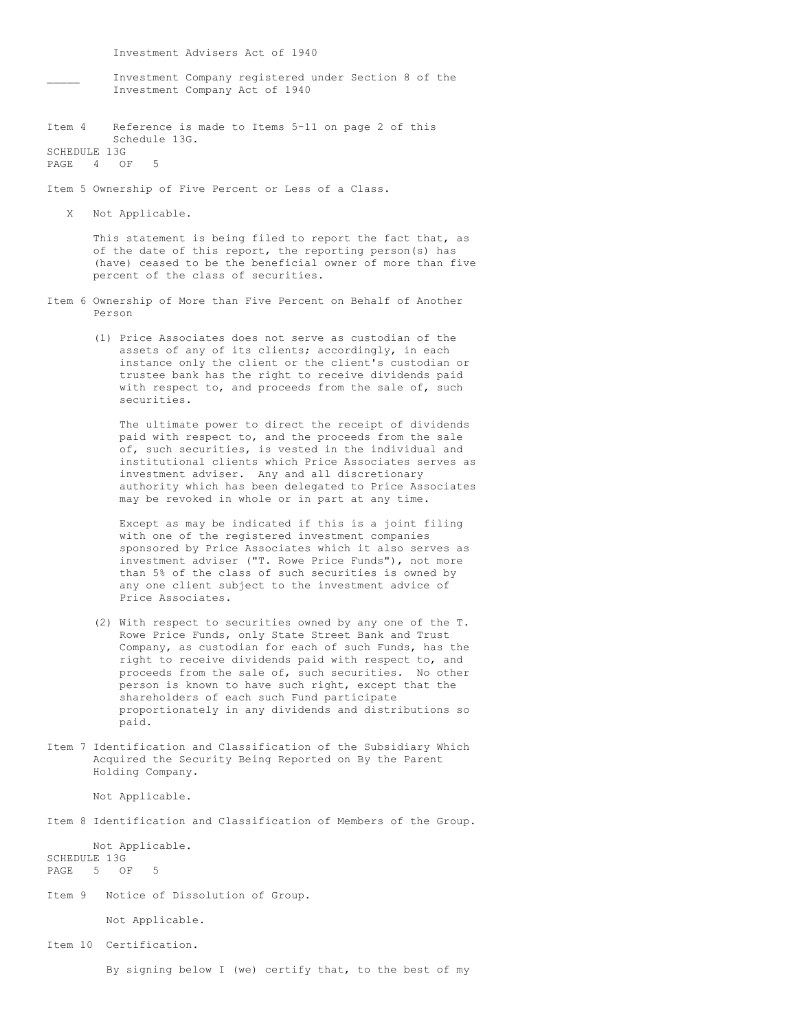Investment Advisers Act of 1940

- Investment Company registered under Section 8 of the Investment Company Act of 1940
- Item 4 Reference is made to Items 5-11 on page 2 of this Schedule 13G. SCHEDULE 13G

PAGE 4 OF

Item 5 Ownership of Five Percent or Less of a Class.

X Not Applicable.

This statement is being filed to report the fact that, as of the date of this report, the reporting person(s) has (have) ceased to be the beneficial owner of more than five percent of the class of securities.

- Item 6 Ownership of More than Five Percent on Behalf of Another Person
	- (1) Price Associates does not serve as custodian of the assets of any of its clients; accordingly, in each instance only the client or the client's custodian or trustee bank has the right to receive dividends paid with respect to, and proceeds from the sale of, such securities.

The ultimate power to direct the receipt of dividends paid with respect to, and the proceeds from the sale of, such securities, is vested in the individual and institutional clients which Price Associates serves as investment adviser. Any and all discretionary authority which has been delegated to Price Associates may be revoked in whole or in part at any time.

Except as may be indicated if this is a joint filing with one of the registered investment companies sponsored by Price Associates which it also serves as investment adviser ("T. Rowe Price Funds"), not more than 5% of the class of such securities is owned by any one client subject to the investment advice of Price Associates.

- (2) With respect to securities owned by any one of the T. Rowe Price Funds, only State Street Bank and Trust Company, as custodian for each of such Funds, has the right to receive dividends paid with respect to, and proceeds from the sale of, such securities. No other person is known to have such right, except that the shareholders of each such Fund participate proportionately in any dividends and distributions so paid.
- Item 7 Identification and Classification of the Subsidiary Which Acquired the Security Being Reported on By the Parent Holding Company.

Not Applicable.

Item 8 Identification and Classification of Members of the Group.

Not Applicable. SCHEDULE 13G<br>PAGE 5 OF  $5$  OF

Item 9 Notice of Dissolution of Group.

Not Applicable.

Item 10 Certification.

By signing below I (we) certify that, to the best of my